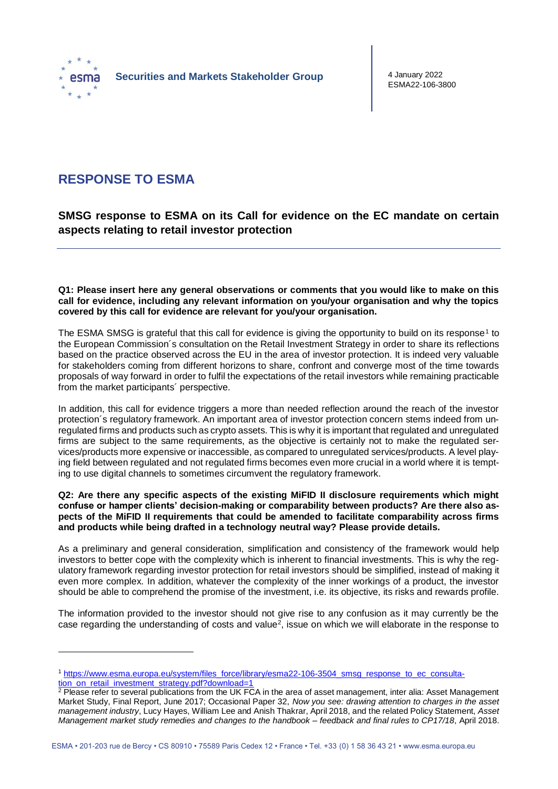

1

4 January 2022 ESMA22-106-3800

# **RESPONSE TO ESMA**

**SMSG response to ESMA on its Call for evidence on the EC mandate on certain aspects relating to retail investor protection**

**Q1: Please insert here any general observations or comments that you would like to make on this call for evidence, including any relevant information on you/your organisation and why the topics covered by this call for evidence are relevant for you/your organisation.**

The ESMA SMSG is grateful that this call for evidence is giving the opportunity to build on its response<sup>1</sup> to the European Commission´s consultation on the Retail Investment Strategy in order to share its reflections based on the practice observed across the EU in the area of investor protection. It is indeed very valuable for stakeholders coming from different horizons to share, confront and converge most of the time towards proposals of way forward in order to fulfil the expectations of the retail investors while remaining practicable from the market participants´ perspective.

In addition, this call for evidence triggers a more than needed reflection around the reach of the investor protection´s regulatory framework. An important area of investor protection concern stems indeed from unregulated firms and products such as crypto assets. This is why it is important that regulated and unregulated firms are subject to the same requirements, as the objective is certainly not to make the regulated services/products more expensive or inaccessible, as compared to unregulated services/products. A level playing field between regulated and not regulated firms becomes even more crucial in a world where it is tempting to use digital channels to sometimes circumvent the regulatory framework.

**Q2: Are there any specific aspects of the existing MiFID II disclosure requirements which might confuse or hamper clients' decision-making or comparability between products? Are there also aspects of the MiFID II requirements that could be amended to facilitate comparability across firms and products while being drafted in a technology neutral way? Please provide details.**

As a preliminary and general consideration, simplification and consistency of the framework would help investors to better cope with the complexity which is inherent to financial investments. This is why the regulatory framework regarding investor protection for retail investors should be simplified, instead of making it even more complex. In addition, whatever the complexity of the inner workings of a product, the investor should be able to comprehend the promise of the investment, i.e. its objective, its risks and rewards profile.

The information provided to the investor should not give rise to any confusion as it may currently be the case regarding the understanding of costs and value<sup>2</sup>, issue on which we will elaborate in the response to

<sup>1</sup> [https://www.esma.europa.eu/system/files\\_force/library/esma22-106-3504\\_smsg\\_response\\_to\\_ec\\_consulta](https://www.esma.europa.eu/system/files_force/library/esma22-106-3504_smsg_response_to_ec_consultation_on_retail_investment_strategy.pdf?download=1)[tion\\_on\\_retail\\_investment\\_strategy.pdf?download=1](https://www.esma.europa.eu/system/files_force/library/esma22-106-3504_smsg_response_to_ec_consultation_on_retail_investment_strategy.pdf?download=1)

<sup>&</sup>lt;sup>2</sup> Please refer to several publications from the UK FCA in the area of asset management, inter alia: Asset Management Market Study, Final Report, June 2017; Occasional Paper 32, *Now you see: drawing attention to charges in the asset management industry*, Lucy Hayes, William Lee and Anish Thakrar, April 2018, and the related Policy Statement, *Asset Management market study remedies and changes to the handbook – feedback and final rules to CP17/18*, April 2018.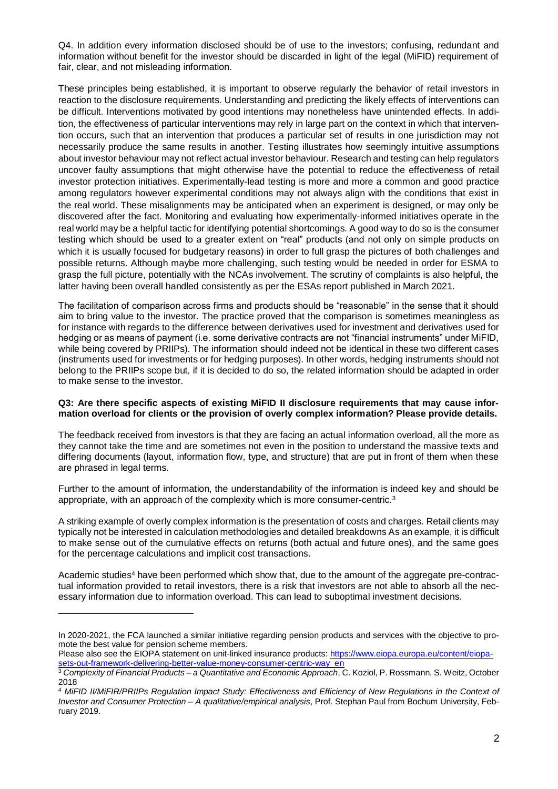Q4. In addition every information disclosed should be of use to the investors; confusing, redundant and information without benefit for the investor should be discarded in light of the legal (MiFID) requirement of fair, clear, and not misleading information.

These principles being established, it is important to observe regularly the behavior of retail investors in reaction to the disclosure requirements. Understanding and predicting the likely effects of interventions can be difficult. Interventions motivated by good intentions may nonetheless have unintended effects. In addition, the effectiveness of particular interventions may rely in large part on the context in which that intervention occurs, such that an intervention that produces a particular set of results in one jurisdiction may not necessarily produce the same results in another. Testing illustrates how seemingly intuitive assumptions about investor behaviour may not reflect actual investor behaviour. Research and testing can help regulators uncover faulty assumptions that might otherwise have the potential to reduce the effectiveness of retail investor protection initiatives. Experimentally-lead testing is more and more a common and good practice among regulators however experimental conditions may not always align with the conditions that exist in the real world. These misalignments may be anticipated when an experiment is designed, or may only be discovered after the fact. Monitoring and evaluating how experimentally-informed initiatives operate in the real world may be a helpful tactic for identifying potential shortcomings. A good way to do so is the consumer testing which should be used to a greater extent on "real" products (and not only on simple products on which it is usually focused for budgetary reasons) in order to full grasp the pictures of both challenges and possible returns. Although maybe more challenging, such testing would be needed in order for ESMA to grasp the full picture, potentially with the NCAs involvement. The scrutiny of complaints is also helpful, the latter having been overall handled consistently as per the ESAs report published in March 2021.

The facilitation of comparison across firms and products should be "reasonable" in the sense that it should aim to bring value to the investor. The practice proved that the comparison is sometimes meaningless as for instance with regards to the difference between derivatives used for investment and derivatives used for hedging or as means of payment (i.e. some derivative contracts are not "financial instruments" under MiFID, while being covered by PRIIPs). The information should indeed not be identical in these two different cases (instruments used for investments or for hedging purposes). In other words, hedging instruments should not belong to the PRIIPs scope but, if it is decided to do so, the related information should be adapted in order to make sense to the investor.

#### **Q3: Are there specific aspects of existing MiFID II disclosure requirements that may cause information overload for clients or the provision of overly complex information? Please provide details.**

The feedback received from investors is that they are facing an actual information overload, all the more as they cannot take the time and are sometimes not even in the position to understand the massive texts and differing documents (layout, information flow, type, and structure) that are put in front of them when these are phrased in legal terms.

Further to the amount of information, the understandability of the information is indeed key and should be appropriate, with an approach of the complexity which is more consumer-centric.<sup>3</sup>

A striking example of overly complex information is the presentation of costs and charges. Retail clients may typically not be interested in calculation methodologies and detailed breakdowns As an example, it is difficult to make sense out of the cumulative effects on returns (both actual and future ones), and the same goes for the percentage calculations and implicit cost transactions.

Academic studies<sup>4</sup> have been performed which show that, due to the amount of the aggregate pre-contractual information provided to retail investors, there is a risk that investors are not able to absorb all the necessary information due to information overload. This can lead to suboptimal investment decisions.

In 2020-2021, the FCA launched a similar initiative regarding pension products and services with the objective to promote the best value for pension scheme members.

Please also see the EIOPA statement on unit-linked insurance products: [https://www.eiopa.europa.eu/content/eiopa](https://www.eiopa.europa.eu/content/eiopa-sets-out-framework-delivering-better-value-money-consumer-centric-way_en)[sets-out-framework-delivering-better-value-money-consumer-centric-way\\_en](https://www.eiopa.europa.eu/content/eiopa-sets-out-framework-delivering-better-value-money-consumer-centric-way_en)

<sup>3</sup> *Complexity of Financial Products – a Quantitative and Economic Approach*, C. Koziol, P. Rossmann, S. Weitz, October 2018

<sup>4</sup> *MiFID II/MiFIR/PRIIPs Regulation Impact Study: Effectiveness and Efficiency of New Regulations in the Context of Investor and Consumer Protection – A qualitative/empirical analysis*, Prof. Stephan Paul from Bochum University, February 2019.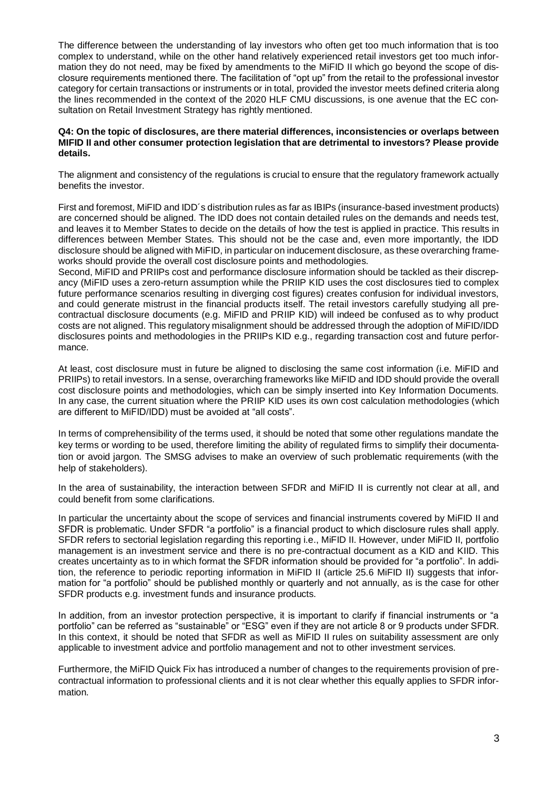The difference between the understanding of lay investors who often get too much information that is too complex to understand, while on the other hand relatively experienced retail investors get too much information they do not need, may be fixed by amendments to the MiFID II which go beyond the scope of disclosure requirements mentioned there. The facilitation of "opt up" from the retail to the professional investor category for certain transactions or instruments or in total, provided the investor meets defined criteria along the lines recommended in the context of the 2020 HLF CMU discussions, is one avenue that the EC consultation on Retail Investment Strategy has rightly mentioned.

# **Q4: On the topic of disclosures, are there material differences, inconsistencies or overlaps between MIFID II and other consumer protection legislation that are detrimental to investors? Please provide details.**

The alignment and consistency of the regulations is crucial to ensure that the regulatory framework actually benefits the investor.

First and foremost, MiFID and IDD´s distribution rules as far as IBIPs (insurance-based investment products) are concerned should be aligned. The IDD does not contain detailed rules on the demands and needs test, and leaves it to Member States to decide on the details of how the test is applied in practice. This results in differences between Member States. This should not be the case and, even more importantly, the IDD disclosure should be aligned with MiFID, in particular on inducement disclosure, as these overarching frameworks should provide the overall cost disclosure points and methodologies.

Second, MiFID and PRIIPs cost and performance disclosure information should be tackled as their discrepancy (MiFID uses a zero-return assumption while the PRIIP KID uses the cost disclosures tied to complex future performance scenarios resulting in diverging cost figures) creates confusion for individual investors, and could generate mistrust in the financial products itself. The retail investors carefully studying all precontractual disclosure documents (e.g. MiFID and PRIIP KID) will indeed be confused as to why product costs are not aligned. This regulatory misalignment should be addressed through the adoption of MiFID/IDD disclosures points and methodologies in the PRIIPs KID e.g., regarding transaction cost and future performance.

At least, cost disclosure must in future be aligned to disclosing the same cost information (i.e. MiFID and PRIIPs) to retail investors. In a sense, overarching frameworks like MiFID and IDD should provide the overall cost disclosure points and methodologies, which can be simply inserted into Key Information Documents. In any case, the current situation where the PRIIP KID uses its own cost calculation methodologies (which are different to MiFID/IDD) must be avoided at "all costs".

In terms of comprehensibility of the terms used, it should be noted that some other regulations mandate the key terms or wording to be used, therefore limiting the ability of regulated firms to simplify their documentation or avoid jargon. The SMSG advises to make an overview of such problematic requirements (with the help of stakeholders).

In the area of sustainability, the interaction between SFDR and MiFID II is currently not clear at all, and could benefit from some clarifications.

In particular the uncertainty about the scope of services and financial instruments covered by MiFID II and SFDR is problematic. Under SFDR "a portfolio" is a financial product to which disclosure rules shall apply. SFDR refers to sectorial legislation regarding this reporting i.e., MiFID II. However, under MiFID II, portfolio management is an investment service and there is no pre-contractual document as a KID and KIID. This creates uncertainty as to in which format the SFDR information should be provided for "a portfolio". In addition, the reference to periodic reporting information in MiFID II (article 25.6 MiFID II) suggests that information for "a portfolio" should be published monthly or quarterly and not annually, as is the case for other SFDR products e.g. investment funds and insurance products.

In addition, from an investor protection perspective, it is important to clarify if financial instruments or "a portfolio" can be referred as "sustainable" or "ESG" even if they are not article 8 or 9 products under SFDR. In this context, it should be noted that SFDR as well as MiFID II rules on suitability assessment are only applicable to investment advice and portfolio management and not to other investment services.

Furthermore, the MiFID Quick Fix has introduced a number of changes to the requirements provision of precontractual information to professional clients and it is not clear whether this equally applies to SFDR information.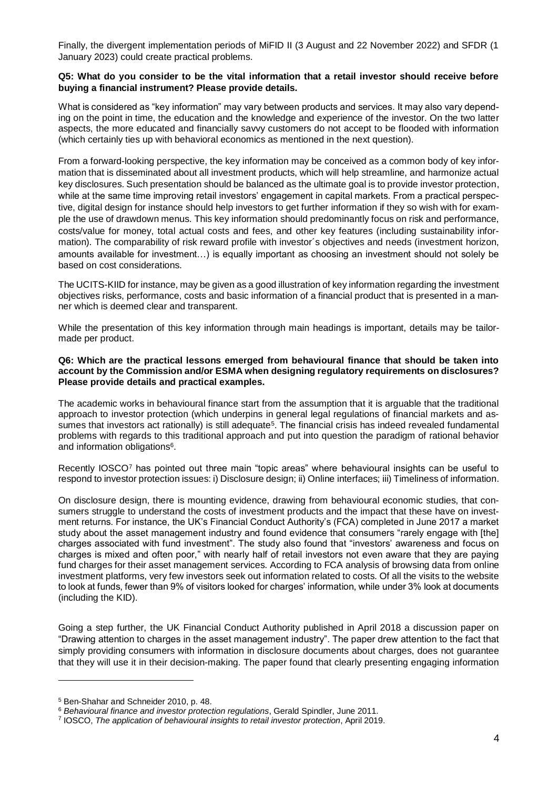Finally, the divergent implementation periods of MiFID II (3 August and 22 November 2022) and SFDR (1 January 2023) could create practical problems.

# **Q5: What do you consider to be the vital information that a retail investor should receive before buying a financial instrument? Please provide details.**

What is considered as "key information" may vary between products and services. It may also vary depending on the point in time, the education and the knowledge and experience of the investor. On the two latter aspects, the more educated and financially savvy customers do not accept to be flooded with information (which certainly ties up with behavioral economics as mentioned in the next question).

From a forward-looking perspective, the key information may be conceived as a common body of key information that is disseminated about all investment products, which will help streamline, and harmonize actual key disclosures. Such presentation should be balanced as the ultimate goal is to provide investor protection, while at the same time improving retail investors' engagement in capital markets. From a practical perspective, digital design for instance should help investors to get further information if they so wish with for example the use of drawdown menus. This key information should predominantly focus on risk and performance, costs/value for money, total actual costs and fees, and other key features (including sustainability information). The comparability of risk reward profile with investor´s objectives and needs (investment horizon, amounts available for investment…) is equally important as choosing an investment should not solely be based on cost considerations.

The UCITS-KIID for instance, may be given as a good illustration of key information regarding the investment objectives risks, performance, costs and basic information of a financial product that is presented in a manner which is deemed clear and transparent.

While the presentation of this key information through main headings is important, details may be tailormade per product.

# **Q6: Which are the practical lessons emerged from behavioural finance that should be taken into account by the Commission and/or ESMA when designing regulatory requirements on disclosures? Please provide details and practical examples.**

The academic works in behavioural finance start from the assumption that it is arguable that the traditional approach to investor protection (which underpins in general legal regulations of financial markets and assumes that investors act rationally) is still adequate<sup>5</sup>. The financial crisis has indeed revealed fundamental problems with regards to this traditional approach and put into question the paradigm of rational behavior and information obligations<sup>6</sup>.

Recently IOSCO<sup>7</sup> has pointed out three main "topic areas" where behavioural insights can be useful to respond to investor protection issues: i) Disclosure design; ii) Online interfaces; iii) Timeliness of information.

On disclosure design, there is mounting evidence, drawing from behavioural economic studies, that consumers struggle to understand the costs of investment products and the impact that these have on investment returns. For instance, the UK's Financial Conduct Authority's (FCA) completed in June 2017 a market study about the asset management industry and found evidence that consumers "rarely engage with [the] charges associated with fund investment". The study also found that "investors' awareness and focus on charges is mixed and often poor," with nearly half of retail investors not even aware that they are paying fund charges for their asset management services. According to FCA analysis of browsing data from online investment platforms, very few investors seek out information related to costs. Of all the visits to the website to look at funds, fewer than 9% of visitors looked for charges' information, while under 3% look at documents (including the KID).

Going a step further, the UK Financial Conduct Authority published in April 2018 a discussion paper on "Drawing attention to charges in the asset management industry". The paper drew attention to the fact that simply providing consumers with information in disclosure documents about charges, does not guarantee that they will use it in their decision-making. The paper found that clearly presenting engaging information

<sup>5</sup> Ben-Shahar and Schneider 2010, p. 48.

<sup>6</sup> *Behavioural finance and investor protection regulations*, Gerald Spindler, June 2011.

<sup>7</sup> IOSCO, *The application of behavioural insights to retail investor protection*, April 2019.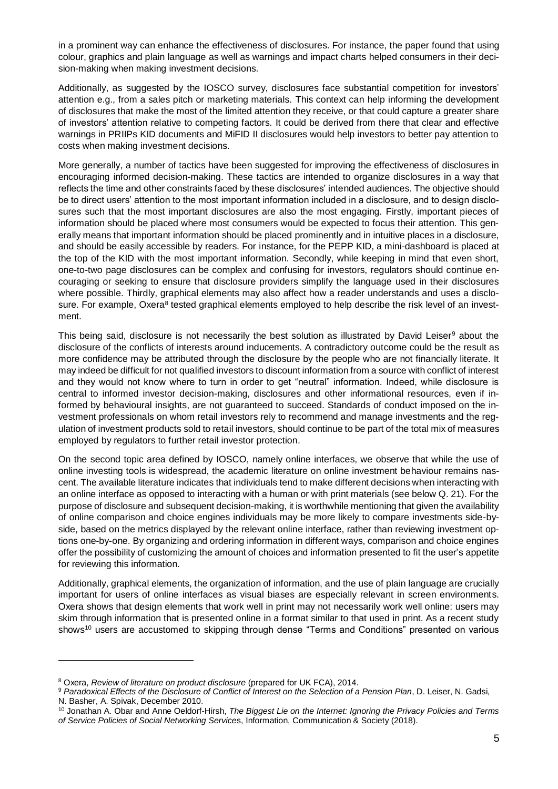in a prominent way can enhance the effectiveness of disclosures. For instance, the paper found that using colour, graphics and plain language as well as warnings and impact charts helped consumers in their decision-making when making investment decisions.

Additionally, as suggested by the IOSCO survey, disclosures face substantial competition for investors' attention e.g., from a sales pitch or marketing materials. This context can help informing the development of disclosures that make the most of the limited attention they receive, or that could capture a greater share of investors' attention relative to competing factors. It could be derived from there that clear and effective warnings in PRIIPs KID documents and MiFID II disclosures would help investors to better pay attention to costs when making investment decisions.

More generally, a number of tactics have been suggested for improving the effectiveness of disclosures in encouraging informed decision-making. These tactics are intended to organize disclosures in a way that reflects the time and other constraints faced by these disclosures' intended audiences. The objective should be to direct users' attention to the most important information included in a disclosure, and to design disclosures such that the most important disclosures are also the most engaging. Firstly, important pieces of information should be placed where most consumers would be expected to focus their attention. This generally means that important information should be placed prominently and in intuitive places in a disclosure, and should be easily accessible by readers. For instance, for the PEPP KID, a mini-dashboard is placed at the top of the KID with the most important information. Secondly, while keeping in mind that even short, one-to-two page disclosures can be complex and confusing for investors, regulators should continue encouraging or seeking to ensure that disclosure providers simplify the language used in their disclosures where possible. Thirdly, graphical elements may also affect how a reader understands and uses a disclosure. For example, Oxera<sup>8</sup> tested graphical elements employed to help describe the risk level of an investment.

This being said, disclosure is not necessarily the best solution as illustrated by David Leiser<sup>9</sup> about the disclosure of the conflicts of interests around inducements. A contradictory outcome could be the result as more confidence may be attributed through the disclosure by the people who are not financially literate. It may indeed be difficult for not qualified investors to discount information from a source with conflict of interest and they would not know where to turn in order to get "neutral" information. Indeed, while disclosure is central to informed investor decision-making, disclosures and other informational resources, even if informed by behavioural insights, are not guaranteed to succeed. Standards of conduct imposed on the investment professionals on whom retail investors rely to recommend and manage investments and the regulation of investment products sold to retail investors, should continue to be part of the total mix of measures employed by regulators to further retail investor protection.

On the second topic area defined by IOSCO, namely online interfaces, we observe that while the use of online investing tools is widespread, the academic literature on online investment behaviour remains nascent. The available literature indicates that individuals tend to make different decisions when interacting with an online interface as opposed to interacting with a human or with print materials (see below Q. 21). For the purpose of disclosure and subsequent decision-making, it is worthwhile mentioning that given the availability of online comparison and choice engines individuals may be more likely to compare investments side-byside, based on the metrics displayed by the relevant online interface, rather than reviewing investment options one-by-one. By organizing and ordering information in different ways, comparison and choice engines offer the possibility of customizing the amount of choices and information presented to fit the user's appetite for reviewing this information.

Additionally, graphical elements, the organization of information, and the use of plain language are crucially important for users of online interfaces as visual biases are especially relevant in screen environments. Oxera shows that design elements that work well in print may not necessarily work well online: users may skim through information that is presented online in a format similar to that used in print. As a recent study shows<sup>10</sup> users are accustomed to skipping through dense "Terms and Conditions" presented on various

1

<sup>8</sup> Oxera, *Review of literature on product disclosure* (prepared for UK FCA), 2014.

<sup>9</sup> *Paradoxical Effects of the Disclosure of Conflict of Interest on the Selection of a Pension Plan*, D. Leiser, N. Gadsi, N. Basher, A. Spivak, December 2010.

<sup>10</sup> Jonathan A. Obar and Anne Oeldorf-Hirsh, *The Biggest Lie on the Internet: Ignoring the Privacy Policies and Terms of Service Policies of Social Networking Service*s, Information, Communication & Society (2018).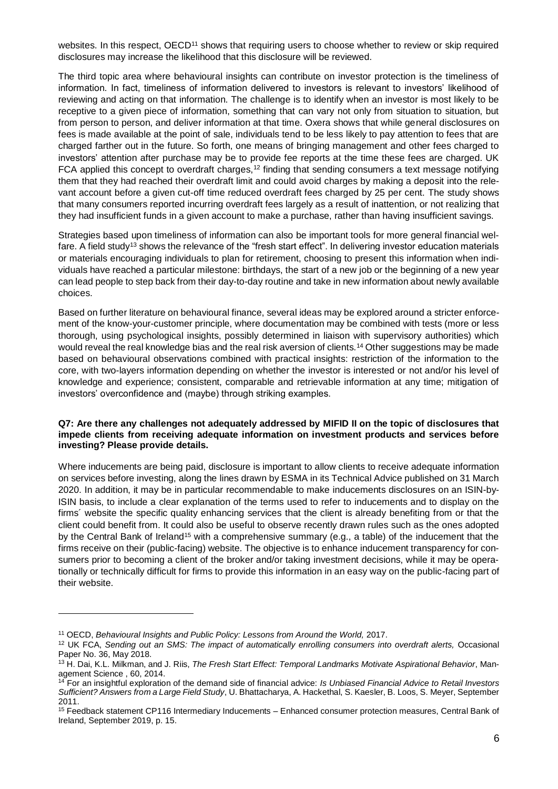websites. In this respect, OECD<sup>11</sup> shows that requiring users to choose whether to review or skip required disclosures may increase the likelihood that this disclosure will be reviewed.

The third topic area where behavioural insights can contribute on investor protection is the timeliness of information. In fact, timeliness of information delivered to investors is relevant to investors' likelihood of reviewing and acting on that information. The challenge is to identify when an investor is most likely to be receptive to a given piece of information, something that can vary not only from situation to situation, but from person to person, and deliver information at that time. Oxera shows that while general disclosures on fees is made available at the point of sale, individuals tend to be less likely to pay attention to fees that are charged farther out in the future. So forth, one means of bringing management and other fees charged to investors' attention after purchase may be to provide fee reports at the time these fees are charged. UK FCA applied this concept to overdraft charges,<sup>12</sup> finding that sending consumers a text message notifying them that they had reached their overdraft limit and could avoid charges by making a deposit into the relevant account before a given cut-off time reduced overdraft fees charged by 25 per cent. The study shows that many consumers reported incurring overdraft fees largely as a result of inattention, or not realizing that they had insufficient funds in a given account to make a purchase, rather than having insufficient savings.

Strategies based upon timeliness of information can also be important tools for more general financial welfare. A field study<sup>13</sup> shows the relevance of the "fresh start effect". In delivering investor education materials or materials encouraging individuals to plan for retirement, choosing to present this information when individuals have reached a particular milestone: birthdays, the start of a new job or the beginning of a new year can lead people to step back from their day-to-day routine and take in new information about newly available choices.

Based on further literature on behavioural finance, several ideas may be explored around a stricter enforcement of the know-your-customer principle, where documentation may be combined with tests (more or less thorough, using psychological insights, possibly determined in liaison with supervisory authorities) which would reveal the real knowledge bias and the real risk aversion of clients.<sup>14</sup> Other suggestions may be made based on behavioural observations combined with practical insights: restriction of the information to the core, with two-layers information depending on whether the investor is interested or not and/or his level of knowledge and experience; consistent, comparable and retrievable information at any time; mitigation of investors' overconfidence and (maybe) through striking examples.

#### **Q7: Are there any challenges not adequately addressed by MIFID II on the topic of disclosures that impede clients from receiving adequate information on investment products and services before investing? Please provide details.**

Where inducements are being paid, disclosure is important to allow clients to receive adequate information on services before investing, along the lines drawn by ESMA in its Technical Advice published on 31 March 2020. In addition, it may be in particular recommendable to make inducements disclosures on an ISIN-by-ISIN basis, to include a clear explanation of the terms used to refer to inducements and to display on the firms´ website the specific quality enhancing services that the client is already benefiting from or that the client could benefit from. It could also be useful to observe recently drawn rules such as the ones adopted by the Central Bank of Ireland<sup>15</sup> with a comprehensive summary (e.g., a table) of the inducement that the firms receive on their (public-facing) website. The objective is to enhance inducement transparency for consumers prior to becoming a client of the broker and/or taking investment decisions, while it may be operationally or technically difficult for firms to provide this information in an easy way on the public-facing part of their website.

1

<sup>11</sup> OECD, *Behavioural Insights and Public Policy: Lessons from Around the World,* 2017.

<sup>&</sup>lt;sup>12</sup> UK FCA, Sending out an SMS: The impact of automatically enrolling consumers into overdraft alerts, Occasional Paper No. 36, May 2018.

<sup>13</sup> H. Dai, K.L. Milkman, and J. Riis, *The Fresh Start Effect: Temporal Landmarks Motivate Aspirational Behavior*, Management Science , 60, 2014.

<sup>14</sup> For an insightful exploration of the demand side of financial advice: *Is Unbiased Financial Advice to Retail Investors Sufficient? Answers from a Large Field Study*, U. Bhattacharya, A. Hackethal, S. Kaesler, B. Loos, S. Meyer, September 2011.

<sup>15</sup> Feedback statement CP116 Intermediary Inducements – Enhanced consumer protection measures, Central Bank of Ireland, September 2019, p. 15.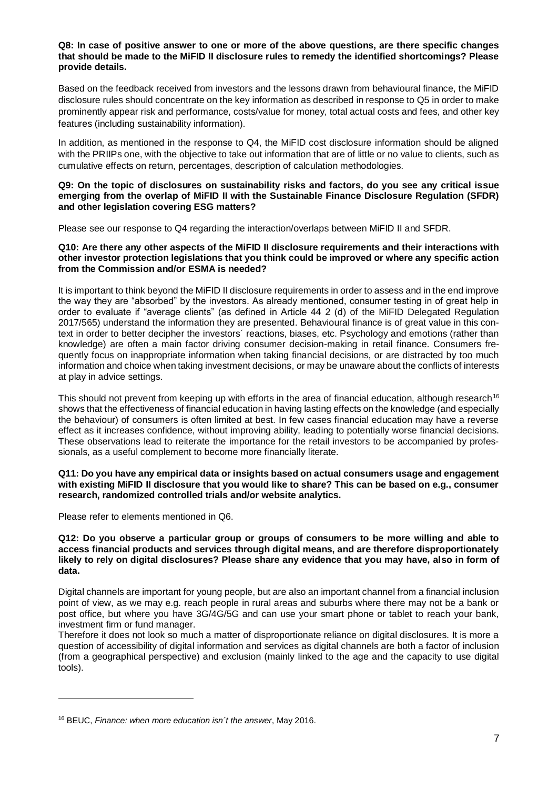# **Q8: In case of positive answer to one or more of the above questions, are there specific changes that should be made to the MiFID II disclosure rules to remedy the identified shortcomings? Please provide details.**

Based on the feedback received from investors and the lessons drawn from behavioural finance, the MiFID disclosure rules should concentrate on the key information as described in response to Q5 in order to make prominently appear risk and performance, costs/value for money, total actual costs and fees, and other key features (including sustainability information).

In addition, as mentioned in the response to Q4, the MiFID cost disclosure information should be aligned with the PRIIPs one, with the objective to take out information that are of little or no value to clients, such as cumulative effects on return, percentages, description of calculation methodologies.

# **Q9: On the topic of disclosures on sustainability risks and factors, do you see any critical issue emerging from the overlap of MiFID II with the Sustainable Finance Disclosure Regulation (SFDR) and other legislation covering ESG matters?**

Please see our response to Q4 regarding the interaction/overlaps between MiFID II and SFDR.

# **Q10: Are there any other aspects of the MiFID II disclosure requirements and their interactions with other investor protection legislations that you think could be improved or where any specific action from the Commission and/or ESMA is needed?**

It is important to think beyond the MiFID II disclosure requirements in order to assess and in the end improve the way they are "absorbed" by the investors. As already mentioned, consumer testing in of great help in order to evaluate if "average clients" (as defined in Article 44 2 (d) of the MiFID Delegated Regulation 2017/565) understand the information they are presented. Behavioural finance is of great value in this context in order to better decipher the investors´ reactions, biases, etc. Psychology and emotions (rather than knowledge) are often a main factor driving consumer decision-making in retail finance. Consumers frequently focus on inappropriate information when taking financial decisions, or are distracted by too much information and choice when taking investment decisions, or may be unaware about the conflicts of interests at play in advice settings.

This should not prevent from keeping up with efforts in the area of financial education, although research<sup>16</sup> shows that the effectiveness of financial education in having lasting effects on the knowledge (and especially the behaviour) of consumers is often limited at best. In few cases financial education may have a reverse effect as it increases confidence, without improving ability, leading to potentially worse financial decisions. These observations lead to reiterate the importance for the retail investors to be accompanied by professionals, as a useful complement to become more financially literate.

#### **Q11: Do you have any empirical data or insights based on actual consumers usage and engagement with existing MiFID II disclosure that you would like to share? This can be based on e.g., consumer research, randomized controlled trials and/or website analytics.**

Please refer to elements mentioned in Q6.

**.** 

# **Q12: Do you observe a particular group or groups of consumers to be more willing and able to access financial products and services through digital means, and are therefore disproportionately likely to rely on digital disclosures? Please share any evidence that you may have, also in form of data.**

Digital channels are important for young people, but are also an important channel from a financial inclusion point of view, as we may e.g. reach people in rural areas and suburbs where there may not be a bank or post office, but where you have 3G/4G/5G and can use your smart phone or tablet to reach your bank, investment firm or fund manager.

Therefore it does not look so much a matter of disproportionate reliance on digital disclosures. It is more a question of accessibility of digital information and services as digital channels are both a factor of inclusion (from a geographical perspective) and exclusion (mainly linked to the age and the capacity to use digital tools).

<sup>16</sup> BEUC, *Finance: when more education isn´t the answer*, May 2016.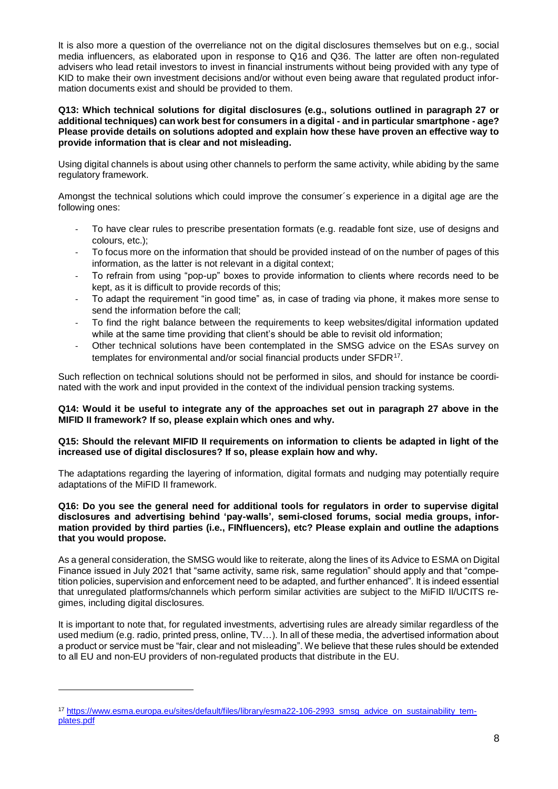It is also more a question of the overreliance not on the digital disclosures themselves but on e.g., social media influencers, as elaborated upon in response to Q16 and Q36. The latter are often non-regulated advisers who lead retail investors to invest in financial instruments without being provided with any type of KID to make their own investment decisions and/or without even being aware that regulated product information documents exist and should be provided to them.

# **Q13: Which technical solutions for digital disclosures (e.g., solutions outlined in paragraph 27 or additional techniques) can work best for consumers in a digital - and in particular smartphone - age? Please provide details on solutions adopted and explain how these have proven an effective way to provide information that is clear and not misleading.**

Using digital channels is about using other channels to perform the same activity, while abiding by the same regulatory framework.

Amongst the technical solutions which could improve the consumer´s experience in a digital age are the following ones:

- To have clear rules to prescribe presentation formats (e.g. readable font size, use of designs and colours, etc.);
- To focus more on the information that should be provided instead of on the number of pages of this information, as the latter is not relevant in a digital context;
- To refrain from using "pop-up" boxes to provide information to clients where records need to be kept, as it is difficult to provide records of this;
- To adapt the requirement "in good time" as, in case of trading via phone, it makes more sense to send the information before the call;
- To find the right balance between the requirements to keep websites/digital information updated while at the same time providing that client's should be able to revisit old information;
- Other technical solutions have been contemplated in the SMSG advice on the ESAs survey on templates for environmental and/or social financial products under SFDR<sup>17</sup>.

Such reflection on technical solutions should not be performed in silos, and should for instance be coordinated with the work and input provided in the context of the individual pension tracking systems.

# **Q14: Would it be useful to integrate any of the approaches set out in paragraph 27 above in the MIFID II framework? If so, please explain which ones and why.**

# **Q15: Should the relevant MIFID II requirements on information to clients be adapted in light of the increased use of digital disclosures? If so, please explain how and why.**

The adaptations regarding the layering of information, digital formats and nudging may potentially require adaptations of the MiFID II framework.

# **Q16: Do you see the general need for additional tools for regulators in order to supervise digital disclosures and advertising behind 'pay-walls', semi-closed forums, social media groups, information provided by third parties (i.e., FINfluencers), etc? Please explain and outline the adaptions that you would propose.**

As a general consideration, the SMSG would like to reiterate, along the lines of its Advice to ESMA on Digital Finance issued in July 2021 that "same activity, same risk, same regulation" should apply and that "competition policies, supervision and enforcement need to be adapted, and further enhanced". It is indeed essential that unregulated platforms/channels which perform similar activities are subject to the MiFID II/UCITS regimes, including digital disclosures.

It is important to note that, for regulated investments, advertising rules are already similar regardless of the used medium (e.g. radio, printed press, online, TV…). In all of these media, the advertised information about a product or service must be "fair, clear and not misleading". We believe that these rules should be extended to all EU and non-EU providers of non-regulated products that distribute in the EU.

<sup>&</sup>lt;sup>17</sup> [https://www.esma.europa.eu/sites/default/files/library/esma22-106-2993\\_smsg\\_advice\\_on\\_sustainability\\_tem](https://www.esma.europa.eu/sites/default/files/library/esma22-106-2993_smsg_advice_on_sustainability_templates.pdf)[plates.pdf](https://www.esma.europa.eu/sites/default/files/library/esma22-106-2993_smsg_advice_on_sustainability_templates.pdf)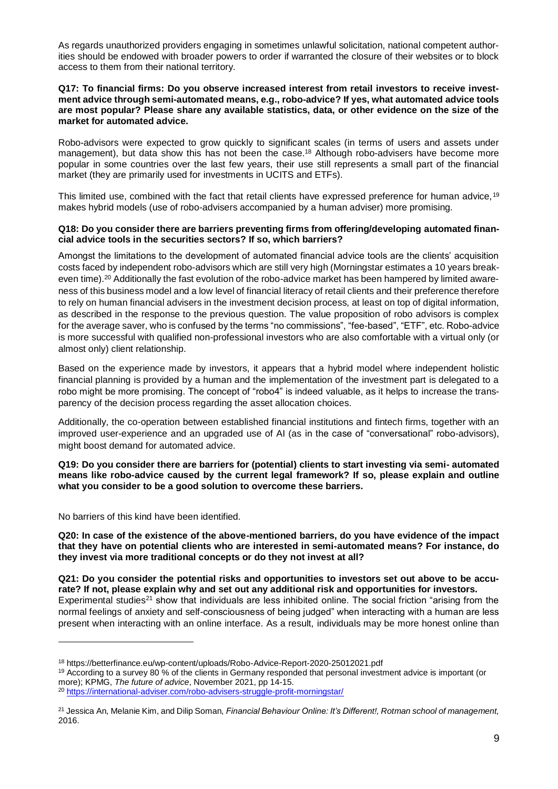As regards unauthorized providers engaging in sometimes unlawful solicitation, national competent authorities should be endowed with broader powers to order if warranted the closure of their websites or to block access to them from their national territory.

#### **Q17: To financial firms: Do you observe increased interest from retail investors to receive investment advice through semi-automated means, e.g., robo-advice? If yes, what automated advice tools are most popular? Please share any available statistics, data, or other evidence on the size of the market for automated advice.**

Robo-advisors were expected to grow quickly to significant scales (in terms of users and assets under management), but data show this has not been the case.<sup>18</sup> Although robo-advisers have become more popular in some countries over the last few years, their use still represents a small part of the financial market (they are primarily used for investments in UCITS and ETFs).

This limited use, combined with the fact that retail clients have expressed preference for human advice, 19 makes hybrid models (use of robo-advisers accompanied by a human adviser) more promising.

# **Q18: Do you consider there are barriers preventing firms from offering/developing automated financial advice tools in the securities sectors? If so, which barriers?**

Amongst the limitations to the development of automated financial advice tools are the clients' acquisition costs faced by independent robo-advisors which are still very high (Morningstar estimates a 10 years breakeven time).<sup>20</sup> Additionally the fast evolution of the robo-advice market has been hampered by limited awareness of this business model and a low level of financial literacy of retail clients and their preference therefore to rely on human financial advisers in the investment decision process, at least on top of digital information, as described in the response to the previous question. The value proposition of robo advisors is complex for the average saver, who is confused by the terms "no commissions", "fee-based", "ETF", etc. Robo-advice is more successful with qualified non-professional investors who are also comfortable with a virtual only (or almost only) client relationship.

Based on the experience made by investors, it appears that a hybrid model where independent holistic financial planning is provided by a human and the implementation of the investment part is delegated to a robo might be more promising. The concept of "robo4" is indeed valuable, as it helps to increase the transparency of the decision process regarding the asset allocation choices.

Additionally, the co-operation between established financial institutions and fintech firms, together with an improved user-experience and an upgraded use of AI (as in the case of "conversational" robo-advisors), might boost demand for automated advice.

**Q19: Do you consider there are barriers for (potential) clients to start investing via semi- automated means like robo-advice caused by the current legal framework? If so, please explain and outline what you consider to be a good solution to overcome these barriers.**

No barriers of this kind have been identified.

**.** 

**Q20: In case of the existence of the above-mentioned barriers, do you have evidence of the impact that they have on potential clients who are interested in semi-automated means? For instance, do they invest via more traditional concepts or do they not invest at all?**

**Q21: Do you consider the potential risks and opportunities to investors set out above to be accurate? If not, please explain why and set out any additional risk and opportunities for investors.** Experimental studies<sup>21</sup> show that individuals are less inhibited online. The social friction "arising from the normal feelings of anxiety and self-consciousness of being judged" when interacting with a human are less present when interacting with an online interface. As a result, individuals may be more honest online than

<sup>18</sup> https://betterfinance.eu/wp-content/uploads/Robo-Advice-Report-2020-25012021.pdf

 $19$  According to a survey 80 % of the clients in Germany responded that personal investment advice is important (or more); KPMG, *The future of advice*, November 2021, pp 14-15.

<sup>20</sup> <https://international-adviser.com/robo-advisers-struggle-profit-morningstar/>

<sup>21</sup> Jessica An, Melanie Kim, and Dilip Soman, *Financial Behaviour Online: It's Different!, Rotman school of management,*  2016.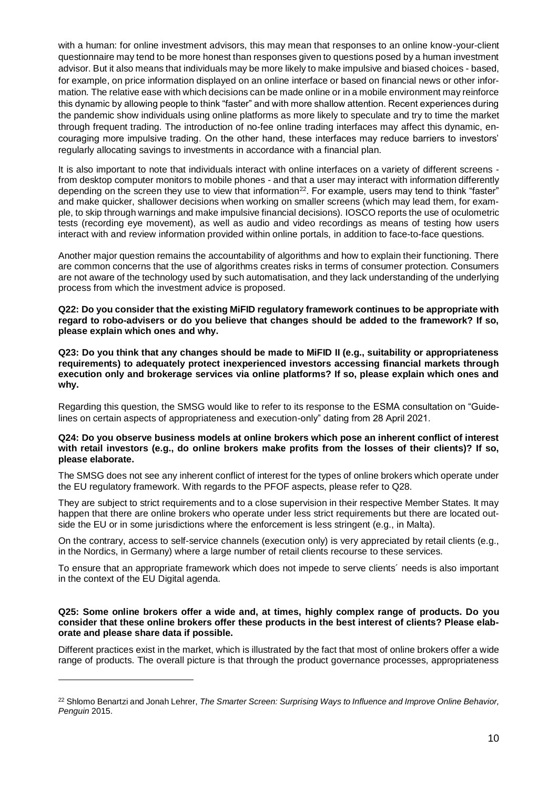with a human: for online investment advisors, this may mean that responses to an online know-your-client questionnaire may tend to be more honest than responses given to questions posed by a human investment advisor. But it also means that individuals may be more likely to make impulsive and biased choices - based, for example, on price information displayed on an online interface or based on financial news or other information. The relative ease with which decisions can be made online or in a mobile environment may reinforce this dynamic by allowing people to think "faster" and with more shallow attention. Recent experiences during the pandemic show individuals using online platforms as more likely to speculate and try to time the market through frequent trading. The introduction of no-fee online trading interfaces may affect this dynamic, encouraging more impulsive trading. On the other hand, these interfaces may reduce barriers to investors' regularly allocating savings to investments in accordance with a financial plan.

It is also important to note that individuals interact with online interfaces on a variety of different screens from desktop computer monitors to mobile phones - and that a user may interact with information differently depending on the screen they use to view that information<sup>22</sup>. For example, users may tend to think "faster" and make quicker, shallower decisions when working on smaller screens (which may lead them, for example, to skip through warnings and make impulsive financial decisions). IOSCO reports the use of oculometric tests (recording eye movement), as well as audio and video recordings as means of testing how users interact with and review information provided within online portals, in addition to face-to-face questions.

Another major question remains the accountability of algorithms and how to explain their functioning. There are common concerns that the use of algorithms creates risks in terms of consumer protection. Consumers are not aware of the technology used by such automatisation, and they lack understanding of the underlying process from which the investment advice is proposed.

**Q22: Do you consider that the existing MiFID regulatory framework continues to be appropriate with regard to robo-advisers or do you believe that changes should be added to the framework? If so, please explain which ones and why.**

**Q23: Do you think that any changes should be made to MiFID II (e.g., suitability or appropriateness requirements) to adequately protect inexperienced investors accessing financial markets through execution only and brokerage services via online platforms? If so, please explain which ones and why.**

Regarding this question, the SMSG would like to refer to its response to the ESMA consultation on "Guidelines on certain aspects of appropriateness and execution-only" dating from 28 April 2021.

#### **Q24: Do you observe business models at online brokers which pose an inherent conflict of interest with retail investors (e.g., do online brokers make profits from the losses of their clients)? If so, please elaborate.**

The SMSG does not see any inherent conflict of interest for the types of online brokers which operate under the EU regulatory framework. With regards to the PFOF aspects, please refer to Q28.

They are subject to strict requirements and to a close supervision in their respective Member States. It may happen that there are online brokers who operate under less strict requirements but there are located outside the EU or in some jurisdictions where the enforcement is less stringent (e.g., in Malta).

On the contrary, access to self-service channels (execution only) is very appreciated by retail clients (e.g., in the Nordics, in Germany) where a large number of retail clients recourse to these services.

To ensure that an appropriate framework which does not impede to serve clients´ needs is also important in the context of the EU Digital agenda.

# **Q25: Some online brokers offer a wide and, at times, highly complex range of products. Do you consider that these online brokers offer these products in the best interest of clients? Please elaborate and please share data if possible.**

Different practices exist in the market, which is illustrated by the fact that most of online brokers offer a wide range of products. The overall picture is that through the product governance processes, appropriateness

<sup>22</sup> Shlomo Benartzi and Jonah Lehrer, *The Smarter Screen: Surprising Ways to Influence and Improve Online Behavior, Penguin* 2015.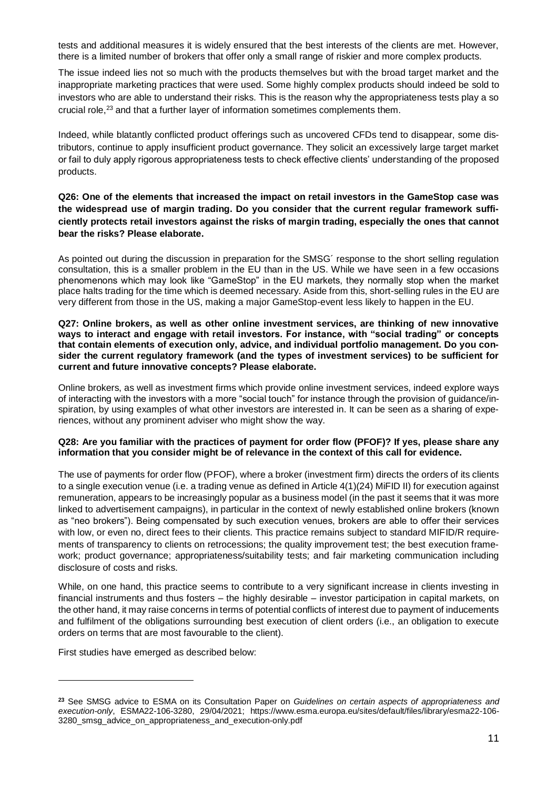tests and additional measures it is widely ensured that the best interests of the clients are met. However, there is a limited number of brokers that offer only a small range of riskier and more complex products.

The issue indeed lies not so much with the products themselves but with the broad target market and the inappropriate marketing practices that were used. Some highly complex products should indeed be sold to investors who are able to understand their risks. This is the reason why the appropriateness tests play a so crucial role,<sup>23</sup> and that a further layer of information sometimes complements them.

Indeed, while blatantly conflicted product offerings such as uncovered CFDs tend to disappear, some distributors, continue to apply insufficient product governance. They solicit an excessively large target market or fail to duly apply rigorous appropriateness tests to check effective clients' understanding of the proposed products.

# **Q26: One of the elements that increased the impact on retail investors in the GameStop case was the widespread use of margin trading. Do you consider that the current regular framework sufficiently protects retail investors against the risks of margin trading, especially the ones that cannot bear the risks? Please elaborate.**

As pointed out during the discussion in preparation for the SMSG´ response to the short selling regulation consultation, this is a smaller problem in the EU than in the US. While we have seen in a few occasions phenomenons which may look like "GameStop" in the EU markets, they normally stop when the market place halts trading for the time which is deemed necessary. Aside from this, short-selling rules in the EU are very different from those in the US, making a major GameStop-event less likely to happen in the EU.

#### **Q27: Online brokers, as well as other online investment services, are thinking of new innovative ways to interact and engage with retail investors. For instance, with "social trading" or concepts that contain elements of execution only, advice, and individual portfolio management. Do you consider the current regulatory framework (and the types of investment services) to be sufficient for current and future innovative concepts? Please elaborate.**

Online brokers, as well as investment firms which provide online investment services, indeed explore ways of interacting with the investors with a more "social touch" for instance through the provision of guidance/inspiration, by using examples of what other investors are interested in. It can be seen as a sharing of experiences, without any prominent adviser who might show the way.

# **Q28: Are you familiar with the practices of payment for order flow (PFOF)? If yes, please share any information that you consider might be of relevance in the context of this call for evidence.**

The use of payments for order flow (PFOF), where a broker (investment firm) directs the orders of its clients to a single execution venue (i.e. a trading venue as defined in Article 4(1)(24) MiFID II) for execution against remuneration, appears to be increasingly popular as a business model (in the past it seems that it was more linked to advertisement campaigns), in particular in the context of newly established online brokers (known as "neo brokers"). Being compensated by such execution venues, brokers are able to offer their services with low, or even no, direct fees to their clients. This practice remains subject to standard MIFID/R requirements of transparency to clients on retrocessions; the quality improvement test; the best execution framework; product governance; appropriateness/suitability tests; and fair marketing communication including disclosure of costs and risks.

While, on one hand, this practice seems to contribute to a very significant increase in clients investing in financial instruments and thus fosters – the highly desirable – investor participation in capital markets, on the other hand, it may raise concerns in terms of potential conflicts of interest due to payment of inducements and fulfilment of the obligations surrounding best execution of client orders (i.e., an obligation to execute orders on terms that are most favourable to the client).

First studies have emerged as described below:

**<sup>23</sup>** See SMSG advice to ESMA on its Consultation Paper on *Guidelines on certain aspects of appropriateness and execution-only*, ESMA22-106-3280, 29/04/2021; https://www.esma.europa.eu/sites/default/files/library/esma22-106- 3280\_smsg\_advice\_on\_appropriateness\_and\_execution-only.pdf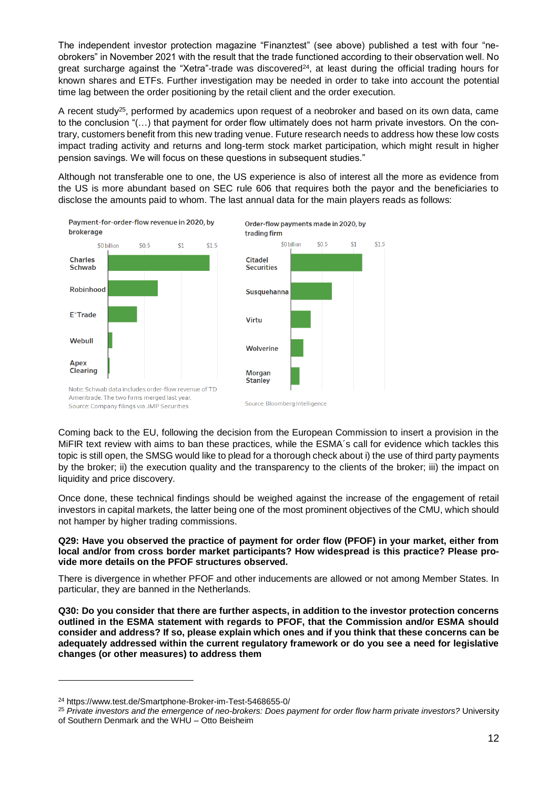The independent investor protection magazine "Finanztest" (see above) published a test with four "neobrokers" in November 2021 with the result that the trade functioned according to their observation well. No great surcharge against the "Xetra"-trade was discovered<sup>24</sup>, at least during the official trading hours for known shares and ETFs. Further investigation may be needed in order to take into account the potential time lag between the order positioning by the retail client and the order execution.

A recent study<sup>25</sup>, performed by academics upon request of a neobroker and based on its own data, came to the conclusion "(…) that payment for order flow ultimately does not harm private investors. On the contrary, customers benefit from this new trading venue. Future research needs to address how these low costs impact trading activity and returns and long-term stock market participation, which might result in higher pension savings. We will focus on these questions in subsequent studies."

Although not transferable one to one, the US experience is also of interest all the more as evidence from the US is more abundant based on SEC rule 606 that requires both the payor and the beneficiaries to disclose the amounts paid to whom. The last annual data for the main players reads as follows:



Coming back to the EU, following the decision from the European Commission to insert a provision in the MiFIR text review with aims to ban these practices, while the ESMA´s call for evidence which tackles this topic is still open, the SMSG would like to plead for a thorough check about i) the use of third party payments by the broker; ii) the execution quality and the transparency to the clients of the broker; iii) the impact on liquidity and price discovery.

Once done, these technical findings should be weighed against the increase of the engagement of retail investors in capital markets, the latter being one of the most prominent objectives of the CMU, which should not hamper by higher trading commissions.

**Q29: Have you observed the practice of payment for order flow (PFOF) in your market, either from local and/or from cross border market participants? How widespread is this practice? Please provide more details on the PFOF structures observed.**

There is divergence in whether PFOF and other inducements are allowed or not among Member States. In particular, they are banned in the Netherlands.

**Q30: Do you consider that there are further aspects, in addition to the investor protection concerns outlined in the ESMA statement with regards to PFOF, that the Commission and/or ESMA should consider and address? If so, please explain which ones and if you think that these concerns can be adequately addressed within the current regulatory framework or do you see a need for legislative changes (or other measures) to address them**

<sup>24</sup> https://www.test.de/Smartphone-Broker-im-Test-5468655-0/

<sup>25</sup> *Private investors and the emergence of neo-brokers: Does payment for order flow harm private investors?* University of Southern Denmark and the WHU – Otto Beisheim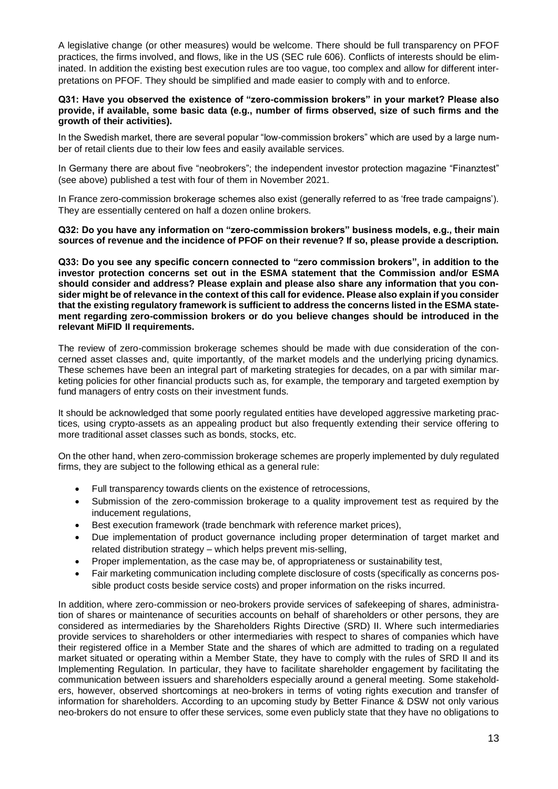A legislative change (or other measures) would be welcome. There should be full transparency on PFOF practices, the firms involved, and flows, like in the US (SEC rule 606). Conflicts of interests should be eliminated. In addition the existing best execution rules are too vague, too complex and allow for different interpretations on PFOF. They should be simplified and made easier to comply with and to enforce.

# **Q31: Have you observed the existence of "zero-commission brokers" in your market? Please also provide, if available, some basic data (e.g., number of firms observed, size of such firms and the growth of their activities).**

In the Swedish market, there are several popular "low-commission brokers" which are used by a large number of retail clients due to their low fees and easily available services.

In Germany there are about five "neobrokers"; the independent investor protection magazine "Finanztest" (see above) published a test with four of them in November 2021.

In France zero-commission brokerage schemes also exist (generally referred to as 'free trade campaigns'). They are essentially centered on half a dozen online brokers.

**Q32: Do you have any information on "zero-commission brokers" business models, e.g., their main sources of revenue and the incidence of PFOF on their revenue? If so, please provide a description.**

**Q33: Do you see any specific concern connected to "zero commission brokers", in addition to the investor protection concerns set out in the ESMA statement that the Commission and/or ESMA should consider and address? Please explain and please also share any information that you consider might be of relevance in the context of this call for evidence. Please also explain if you consider that the existing regulatory framework is sufficient to address the concerns listed in the ESMA statement regarding zero-commission brokers or do you believe changes should be introduced in the relevant MiFID II requirements.**

The review of zero-commission brokerage schemes should be made with due consideration of the concerned asset classes and, quite importantly, of the market models and the underlying pricing dynamics. These schemes have been an integral part of marketing strategies for decades, on a par with similar marketing policies for other financial products such as, for example, the temporary and targeted exemption by fund managers of entry costs on their investment funds.

It should be acknowledged that some poorly regulated entities have developed aggressive marketing practices, using crypto-assets as an appealing product but also frequently extending their service offering to more traditional asset classes such as bonds, stocks, etc.

On the other hand, when zero-commission brokerage schemes are properly implemented by duly regulated firms, they are subject to the following ethical as a general rule:

- Full transparency towards clients on the existence of retrocessions,
- Submission of the zero-commission brokerage to a quality improvement test as required by the inducement regulations,
- Best execution framework (trade benchmark with reference market prices),
- Due implementation of product governance including proper determination of target market and related distribution strategy – which helps prevent mis-selling,
- Proper implementation, as the case may be, of appropriateness or sustainability test,
- Fair marketing communication including complete disclosure of costs (specifically as concerns possible product costs beside service costs) and proper information on the risks incurred.

In addition, where zero-commission or neo-brokers provide services of safekeeping of shares, administration of shares or maintenance of securities accounts on behalf of shareholders or other persons, they are considered as intermediaries by the Shareholders Rights Directive (SRD) II. Where such intermediaries provide services to shareholders or other intermediaries with respect to shares of companies which have their registered office in a Member State and the shares of which are admitted to trading on a regulated market situated or operating within a Member State, they have to comply with the rules of SRD II and its Implementing Regulation. In particular, they have to facilitate shareholder engagement by facilitating the communication between issuers and shareholders especially around a general meeting. Some stakeholders, however, observed shortcomings at neo-brokers in terms of voting rights execution and transfer of information for shareholders. According to an upcoming study by Better Finance & DSW not only various neo-brokers do not ensure to offer these services, some even publicly state that they have no obligations to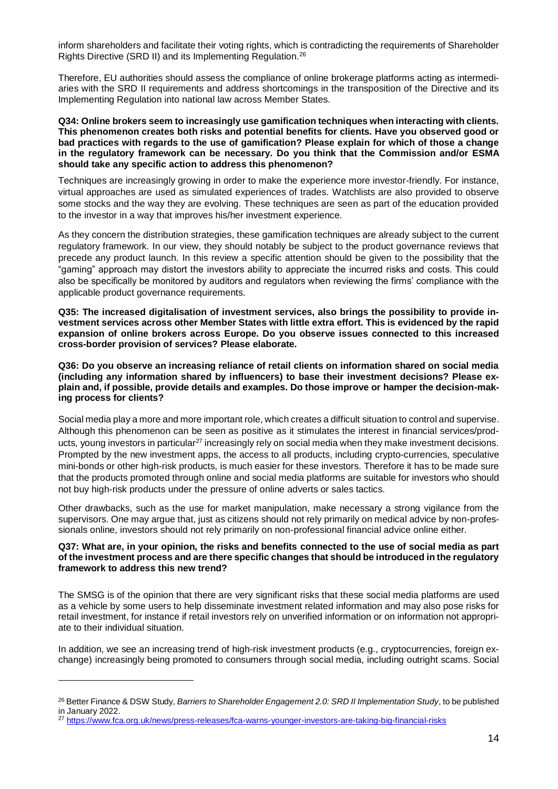inform shareholders and facilitate their voting rights, which is contradicting the requirements of Shareholder Rights Directive (SRD II) and its Implementing Regulation.<sup>26</sup>

Therefore, EU authorities should assess the compliance of online brokerage platforms acting as intermediaries with the SRD II requirements and address shortcomings in the transposition of the Directive and its Implementing Regulation into national law across Member States.

# **Q34: Online brokers seem to increasingly use gamification techniques when interacting with clients. This phenomenon creates both risks and potential benefits for clients. Have you observed good or bad practices with regards to the use of gamification? Please explain for which of those a change in the regulatory framework can be necessary. Do you think that the Commission and/or ESMA should take any specific action to address this phenomenon?**

Techniques are increasingly growing in order to make the experience more investor-friendly. For instance, virtual approaches are used as simulated experiences of trades. Watchlists are also provided to observe some stocks and the way they are evolving. These techniques are seen as part of the education provided to the investor in a way that improves his/her investment experience.

As they concern the distribution strategies, these gamification techniques are already subject to the current regulatory framework. In our view, they should notably be subject to the product governance reviews that precede any product launch. In this review a specific attention should be given to the possibility that the "gaming" approach may distort the investors ability to appreciate the incurred risks and costs. This could also be specifically be monitored by auditors and regulators when reviewing the firms' compliance with the applicable product governance requirements.

**Q35: The increased digitalisation of investment services, also brings the possibility to provide investment services across other Member States with little extra effort. This is evidenced by the rapid expansion of online brokers across Europe. Do you observe issues connected to this increased cross-border provision of services? Please elaborate.**

**Q36: Do you observe an increasing reliance of retail clients on information shared on social media (including any information shared by influencers) to base their investment decisions? Please explain and, if possible, provide details and examples. Do those improve or hamper the decision-making process for clients?**

Social media play a more and more important role, which creates a difficult situation to control and supervise. Although this phenomenon can be seen as positive as it stimulates the interest in financial services/products, young investors in particular<sup>27</sup> increasingly rely on social media when they make investment decisions. Prompted by the new investment apps, the access to all products, including crypto-currencies, speculative mini-bonds or other high-risk products, is much easier for these investors. Therefore it has to be made sure that the products promoted through online and social media platforms are suitable for investors who should not buy high-risk products under the pressure of online adverts or sales tactics.

Other drawbacks, such as the use for market manipulation, make necessary a strong vigilance from the supervisors. One may argue that, just as citizens should not rely primarily on medical advice by non-professionals online, investors should not rely primarily on non-professional financial advice online either.

# **Q37: What are, in your opinion, the risks and benefits connected to the use of social media as part of the investment process and are there specific changes that should be introduced in the regulatory framework to address this new trend?**

The SMSG is of the opinion that there are very significant risks that these social media platforms are used as a vehicle by some users to help disseminate investment related information and may also pose risks for retail investment, for instance if retail investors rely on unverified information or on information not appropriate to their individual situation.

In addition, we see an increasing trend of high-risk investment products (e.g., cryptocurrencies, foreign exchange) increasingly being promoted to consumers through social media, including outright scams. Social

<sup>26</sup> Better Finance & DSW Study, *Barriers to Shareholder Engagement 2.0: SRD II Implementation Study*, to be published in January 2022.

<sup>27</sup> <https://www.fca.org.uk/news/press-releases/fca-warns-younger-investors-are-taking-big-financial-risks>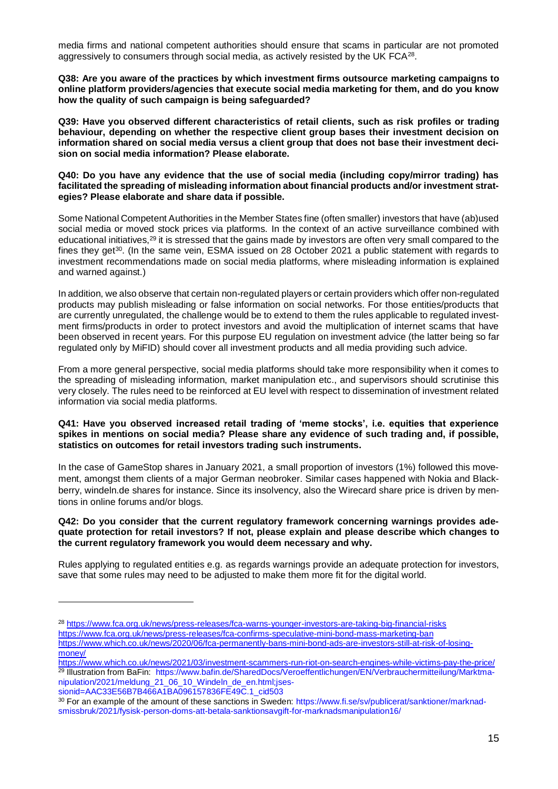media firms and national competent authorities should ensure that scams in particular are not promoted aggressively to consumers through social media, as actively resisted by the UK FCA<sup>28</sup>.

**Q38: Are you aware of the practices by which investment firms outsource marketing campaigns to online platform providers/agencies that execute social media marketing for them, and do you know how the quality of such campaign is being safeguarded?**

**Q39: Have you observed different characteristics of retail clients, such as risk profiles or trading behaviour, depending on whether the respective client group bases their investment decision on information shared on social media versus a client group that does not base their investment decision on social media information? Please elaborate.**

**Q40: Do you have any evidence that the use of social media (including copy/mirror trading) has facilitated the spreading of misleading information about financial products and/or investment strategies? Please elaborate and share data if possible.**

Some National Competent Authorities in the Member States fine (often smaller) investors that have (ab)used social media or moved stock prices via platforms. In the context of an active surveillance combined with educational initiatives,<sup>29</sup> it is stressed that the gains made by investors are often very small compared to the fines they get<sup>30</sup>. (In the same vein, ESMA issued on 28 October 2021 a public statement with regards to investment recommendations made on social media platforms, where misleading information is explained and warned against.)

In addition, we also observe that certain non-regulated players or certain providers which offer non-regulated products may publish misleading or false information on social networks. For those entities/products that are currently unregulated, the challenge would be to extend to them the rules applicable to regulated investment firms/products in order to protect investors and avoid the multiplication of internet scams that have been observed in recent years. For this purpose EU regulation on investment advice (the latter being so far regulated only by MiFID) should cover all investment products and all media providing such advice.

From a more general perspective, social media platforms should take more responsibility when it comes to the spreading of misleading information, market manipulation etc., and supervisors should scrutinise this very closely. The rules need to be reinforced at EU level with respect to dissemination of investment related information via social media platforms.

#### **Q41: Have you observed increased retail trading of 'meme stocks', i.e. equities that experience spikes in mentions on social media? Please share any evidence of such trading and, if possible, statistics on outcomes for retail investors trading such instruments.**

In the case of GameStop shares in January 2021, a small proportion of investors (1%) followed this movement, amongst them clients of a major German neobroker. Similar cases happened with Nokia and Blackberry, windeln.de shares for instance. Since its insolvency, also the Wirecard share price is driven by mentions in online forums and/or blogs.

# **Q42: Do you consider that the current regulatory framework concerning warnings provides adequate protection for retail investors? If not, please explain and please describe which changes to the current regulatory framework you would deem necessary and why.**

Rules applying to regulated entities e.g. as regards warnings provide an adequate protection for investors, save that some rules may need to be adjusted to make them more fit for the digital world.

<sup>28</sup> <https://www.fca.org.uk/news/press-releases/fca-warns-younger-investors-are-taking-big-financial-risks> <https://www.fca.org.uk/news/press-releases/fca-confirms-speculative-mini-bond-mass-marketing-ban> [https://www.which.co.uk/news/2020/06/fca-permanently-bans-mini-bond-ads-are-investors-still-at-risk-of-losing](https://www.which.co.uk/news/2020/06/fca-permanently-bans-mini-bond-ads-are-investors-still-at-risk-of-losing-money/)[money/](https://www.which.co.uk/news/2020/06/fca-permanently-bans-mini-bond-ads-are-investors-still-at-risk-of-losing-money/)

<https://www.which.co.uk/news/2021/03/investment-scammers-run-riot-on-search-engines-while-victims-pay-the-price/> <sup>29</sup> Illustration from BaFin: [https://www.bafin.de/SharedDocs/Veroeffentlichungen/EN/Verbrauchermitteilung/Marktma](https://www.bafin.de/SharedDocs/Veroeffentlichungen/EN/Verbrauchermitteilung/Marktmanipulation/2021/meldung_21_06_10_Windeln_de_en.html;jsessionid=AAC33E56B7B466A1BA096157836FE49C.1_cid503)[nipulation/2021/meldung\\_21\\_06\\_10\\_Windeln\\_de\\_en.html;jses-](https://www.bafin.de/SharedDocs/Veroeffentlichungen/EN/Verbrauchermitteilung/Marktmanipulation/2021/meldung_21_06_10_Windeln_de_en.html;jsessionid=AAC33E56B7B466A1BA096157836FE49C.1_cid503)

[sionid=AAC33E56B7B466A1BA096157836FE49C.1\\_cid503](https://www.bafin.de/SharedDocs/Veroeffentlichungen/EN/Verbrauchermitteilung/Marktmanipulation/2021/meldung_21_06_10_Windeln_de_en.html;jsessionid=AAC33E56B7B466A1BA096157836FE49C.1_cid503)

<sup>30</sup> For an example of the amount of these sanctions in Sweden: [https://www.fi.se/sv/publicerat/sanktioner/marknad](https://www.fi.se/sv/publicerat/sanktioner/marknadsmissbruk/2021/fysisk-person-doms-att-betala-sanktionsavgift-for-marknadsmanipulation16/)[smissbruk/2021/fysisk-person-doms-att-betala-sanktionsavgift-for-marknadsmanipulation16/](https://www.fi.se/sv/publicerat/sanktioner/marknadsmissbruk/2021/fysisk-person-doms-att-betala-sanktionsavgift-for-marknadsmanipulation16/)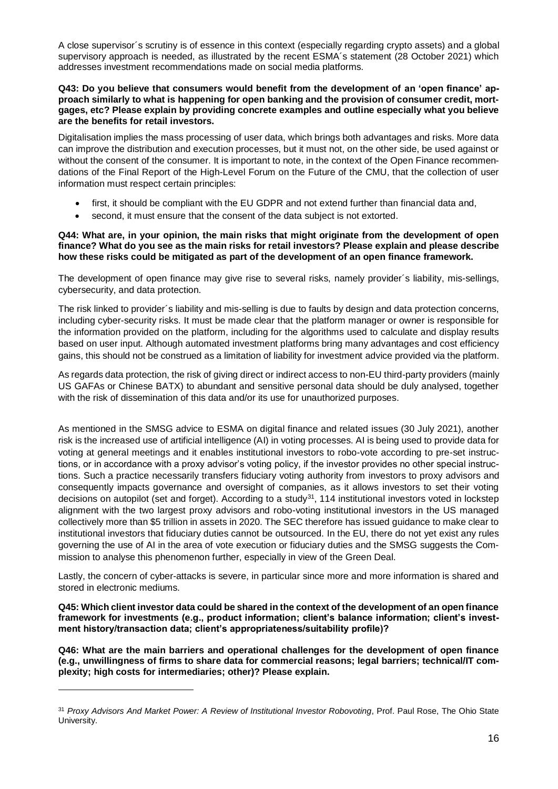A close supervisor´s scrutiny is of essence in this context (especially regarding crypto assets) and a global supervisory approach is needed, as illustrated by the recent ESMA´s statement (28 October 2021) which addresses investment recommendations made on social media platforms.

# **Q43: Do you believe that consumers would benefit from the development of an 'open finance' approach similarly to what is happening for open banking and the provision of consumer credit, mortgages, etc? Please explain by providing concrete examples and outline especially what you believe are the benefits for retail investors.**

Digitalisation implies the mass processing of user data, which brings both advantages and risks. More data can improve the distribution and execution processes, but it must not, on the other side, be used against or without the consent of the consumer. It is important to note, in the context of the Open Finance recommendations of the Final Report of the High-Level Forum on the Future of the CMU, that the collection of user information must respect certain principles:

- first, it should be compliant with the EU GDPR and not extend further than financial data and,
- second, it must ensure that the consent of the data subject is not extorted.

# **Q44: What are, in your opinion, the main risks that might originate from the development of open finance? What do you see as the main risks for retail investors? Please explain and please describe how these risks could be mitigated as part of the development of an open finance framework.**

The development of open finance may give rise to several risks, namely provider´s liability, mis-sellings, cybersecurity, and data protection.

The risk linked to provider´s liability and mis-selling is due to faults by design and data protection concerns, including cyber-security risks. It must be made clear that the platform manager or owner is responsible for the information provided on the platform, including for the algorithms used to calculate and display results based on user input. Although automated investment platforms bring many advantages and cost efficiency gains, this should not be construed as a limitation of liability for investment advice provided via the platform.

As regards data protection, the risk of giving direct or indirect access to non-EU third-party providers (mainly US GAFAs or Chinese BATX) to abundant and sensitive personal data should be duly analysed, together with the risk of dissemination of this data and/or its use for unauthorized purposes.

As mentioned in the SMSG advice to ESMA on digital finance and related issues (30 July 2021), another risk is the increased use of artificial intelligence (AI) in voting processes. AI is being used to provide data for voting at general meetings and it enables institutional investors to robo-vote according to pre-set instructions, or in accordance with a proxy advisor's voting policy, if the investor provides no other special instructions. Such a practice necessarily transfers fiduciary voting authority from investors to proxy advisors and consequently impacts governance and oversight of companies, as it allows investors to set their voting decisions on autopilot (set and forget). According to a study<sup>31</sup>, 114 institutional investors voted in lockstep alignment with the two largest proxy advisors and robo-voting institutional investors in the US managed collectively more than \$5 trillion in assets in 2020. The SEC therefore has issued guidance to make clear to institutional investors that fiduciary duties cannot be outsourced. In the EU, there do not yet exist any rules governing the use of AI in the area of vote execution or fiduciary duties and the SMSG suggests the Commission to analyse this phenomenon further, especially in view of the Green Deal.

Lastly, the concern of cyber-attacks is severe, in particular since more and more information is shared and stored in electronic mediums.

**Q45: Which client investor data could be shared in the context of the development of an open finance framework for investments (e.g., product information; client's balance information; client's investment history/transaction data; client's appropriateness/suitability profile)?**

**Q46: What are the main barriers and operational challenges for the development of open finance (e.g., unwillingness of firms to share data for commercial reasons; legal barriers; technical/IT complexity; high costs for intermediaries; other)? Please explain.**

<sup>31</sup> *Proxy Advisors And Market Power: A Review of Institutional Investor Robovoting*, Prof. Paul Rose, The Ohio State University.